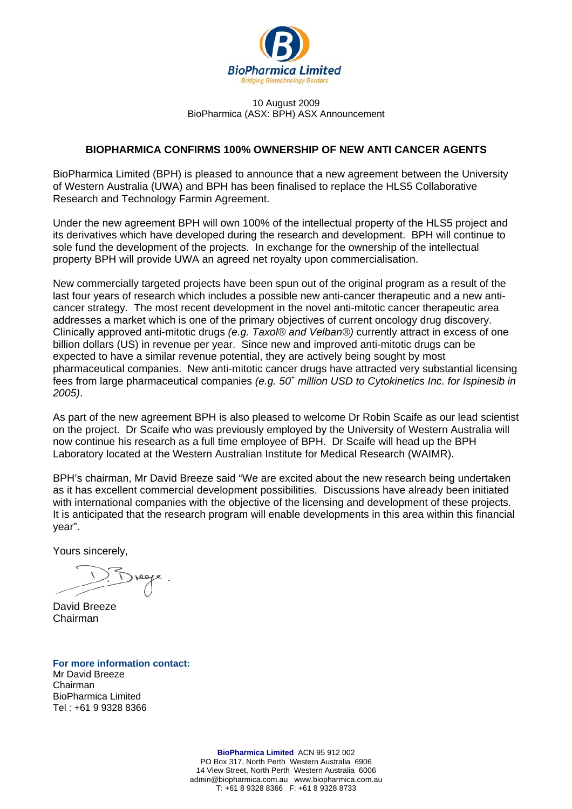

#### 10 August 2009 BioPharmica (ASX: BPH) ASX Announcement

## **BIOPHARMICA CONFIRMS 100% OWNERSHIP OF NEW ANTI CANCER AGENTS**

BioPharmica Limited (BPH) is pleased to announce that a new agreement between the University of Western Australia (UWA) and BPH has been finalised to replace the HLS5 Collaborative Research and Technology Farmin Agreement.

Under the new agreement BPH will own 100% of the intellectual property of the HLS5 project and its derivatives which have developed during the research and development. BPH will continue to sole fund the development of the projects. In exchange for the ownership of the intellectual property BPH will provide UWA an agreed net royalty upon commercialisation.

New commercially targeted projects have been spun out of the original program as a result of the last four years of research which includes a possible new anti-cancer therapeutic and a new anticancer strategy. The most recent development in the novel anti-mitotic cancer therapeutic area addresses a market which is one of the primary objectives of current oncology drug discovery. Clinically approved anti-mitotic drugs *(e.g. Taxol® and Velban®)* currently attract in excess of one billion dollars (US) in revenue per year. Since new and improved anti-mitotic drugs can be expected to have a similar revenue potential, they are actively being sought by most pharmaceutical companies. New anti-mitotic cancer drugs have attracted very substantial licensing fees from large pharmaceutical companies *(e.g. 50<sup>+</sup> million USD to Cytokinetics Inc. for Ispinesib in 2005)*.

As part of the new agreement BPH is also pleased to welcome Dr Robin Scaife as our lead scientist on the project. Dr Scaife who was previously employed by the University of Western Australia will now continue his research as a full time employee of BPH. Dr Scaife will head up the BPH Laboratory located at the Western Australian Institute for Medical Research (WAIMR).

BPH's chairman, Mr David Breeze said "We are excited about the new research being undertaken as it has excellent commercial development possibilities. Discussions have already been initiated with international companies with the objective of the licensing and development of these projects. It is anticipated that the research program will enable developments in this area within this financial year".

Yours sincerely,

David Breeze Chairman

**For more information contact:**  Mr David Breeze Chairman BioPharmica Limited Tel : +61 9 9328 8366

> **BioPharmica Limited** ACN 95 912 002 PO Box 317, North Perth Western Australia 6906 14 View Street, North Perth Western Australia 6006 admin@biopharmica.com.au www.biopharmica.com.au T: +61 8 9328 8366 F: +61 8 9328 8733